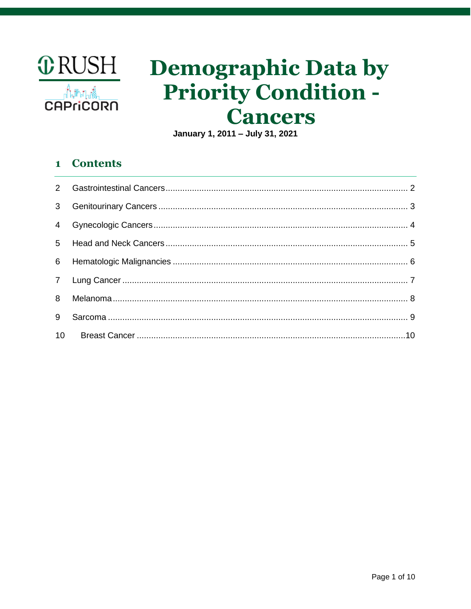

# **Demographic Data by Priority Condition -Cancers**

January 1, 2011 - July 31, 2021

### **Contents**  $\mathbf{1}$

| 3 <sup>7</sup> |  |
|----------------|--|
|                |  |
|                |  |
|                |  |
|                |  |
| 8              |  |
| 9              |  |
|                |  |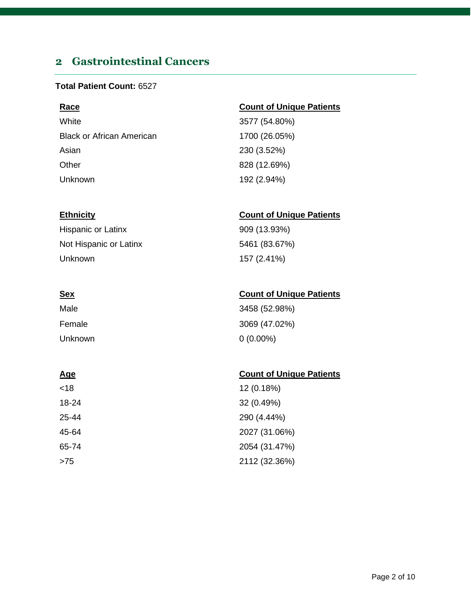# <span id="page-1-0"></span>**2 Gastrointestinal Cancers**

### **Total Patient Count:** 6527

| <b>Race</b>                      | <b>Count of Unique Patients</b> |
|----------------------------------|---------------------------------|
| White                            | 3577 (54.80%)                   |
| <b>Black or African American</b> | 1700 (26.05%)                   |
| Asian                            | 230 (3.52%)                     |
| Other                            | 828 (12.69%)                    |
| Unknown                          | 192 (2.94%)                     |

| <b>Hispanic or Latinx</b> |  |
|---------------------------|--|
| Not Hispanic or Latinx    |  |
| Unknown                   |  |

| Male    | 3458 (52.98%) |
|---------|---------------|
| Female  | 3069 (47.02%) |
| Unknown | $0(0.00\%)$   |

| <18   | 12 (0.18%)    |
|-------|---------------|
| 18-24 | 32 (0.49%)    |
| 25-44 | 290 (4.44%)   |
| 45-64 | 2027 (31.06%) |
| 65-74 | 2054 (31.47%) |
| >75   | 2112 (32.36%) |

### **Ethnicity Count of Unique Patients**

909 (13.93%) 5461 (83.67%) 157 (2.41%)

### **Sex Count of Unique Patients**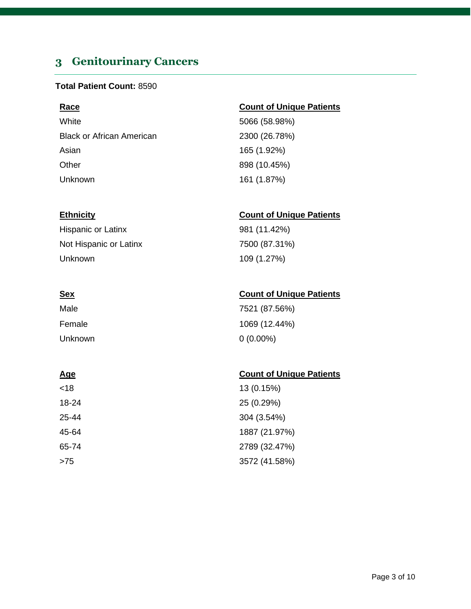# <span id="page-2-0"></span>**3 Genitourinary Cancers**

### **Total Patient Count:** 8590

White 5066 (58.98%) Black or African American 2300 (26.78%) Asian 165 (1.92%) Other 898 (10.45%) Unknown 161 (1.87%)

Hispanic or Latinx 981 (11.42%) Not Hispanic or Latinx 7500 (87.31%) Unknown 109 (1.27%)

| Male    | 7521 (87.56%) |
|---------|---------------|
| Female  | 1069 (12.44%) |
| Unknown | $0(0.00\%)$   |

| <18   | 13 (0.15%)    |
|-------|---------------|
| 18-24 | 25 (0.29%)    |
| 25-44 | 304 (3.54%)   |
| 45-64 | 1887 (21.97%) |
| 65-74 | 2789 (32.47%) |
| >75   | 3572 (41.58%) |

### **Race Count of Unique Patients**

### **Ethnicity Count of Unique Patients**

### **Sex Count of Unique Patients**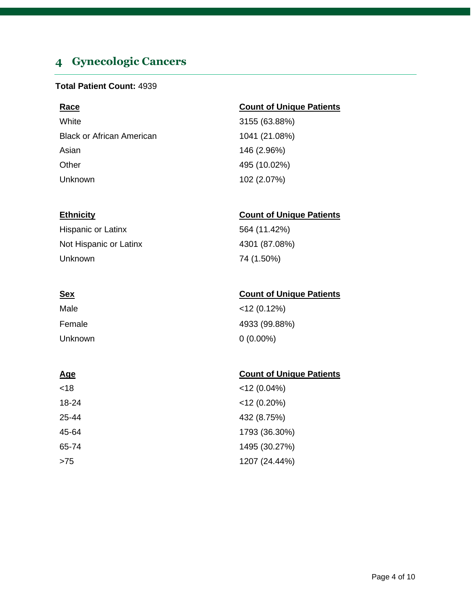# <span id="page-3-0"></span>**4 Gynecologic Cancers**

### **Total Patient Count:** 4939

White 3155 (63.88%) Black or African American 1041 (21.08%) Asian 146 (2.96%) Other 495 (10.02%) Unknown 102 (2.07%)

Hispanic or Latinx 564 (11.42%) Not Hispanic or Latinx 4301 (87.08%) Unknown 74 (1.50%)

| Male    | $<$ 12 (0.12%) |
|---------|----------------|
| Female  | 4933 (99.88%)  |
| Unknown | $0(0.00\%)$    |

### **Age** Count of Unique Patients

| <18   | $<$ 12 (0.04%) |
|-------|----------------|
| 18-24 | $<$ 12 (0.20%) |
| 25-44 | 432 (8.75%)    |
| 45-64 | 1793 (36.30%)  |
| 65-74 | 1495 (30.27%)  |
| >75   | 1207 (24.44%)  |

### **Race Count of Unique Patients**

### **Ethnicity Count of Unique Patients**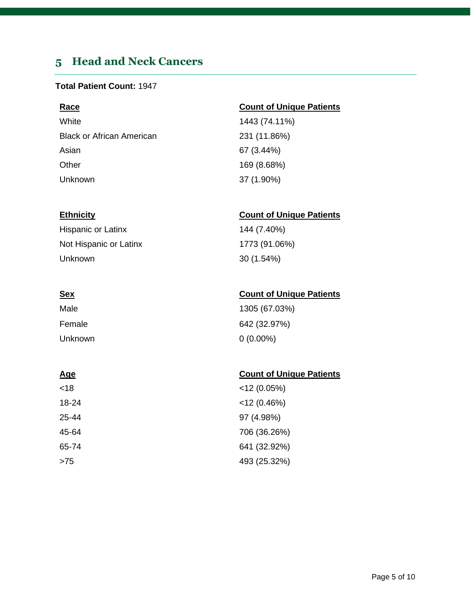# <span id="page-4-0"></span>**5 Head and Neck Cancers**

### **Total Patient Count:** 1947

| Race                             | <b>Count of Unique Patients</b> |
|----------------------------------|---------------------------------|
| White                            | 1443 (74.11%)                   |
| <b>Black or African American</b> | 231 (11.86%)                    |
| Asian                            | 67 (3.44%)                      |
| Other                            | 169 (8.68%)                     |
| Unknown                          | 37 (1.90%)                      |

| <b>Hispanic or Latinx</b> |
|---------------------------|
| Not Hispanic or Latinx    |
| Unknown                   |

| Male    | 1305 (67.03%) |
|---------|---------------|
| Female  | 642 (32.97%)  |
| Unknown | $0(0.00\%)$   |

| <18   | $<$ 12 (0.05%) |
|-------|----------------|
| 18-24 | $<$ 12 (0.46%) |
| 25-44 | 97 (4.98%)     |
| 45-64 | 706 (36.26%)   |
| 65-74 | 641 (32.92%)   |
| >75   | 493 (25.32%)   |

### **Ethnicity Count of Unique Patients**

144 (7.40%) 1773 (91.06%) 30 (1.54%)

### **Sex Count of Unique Patients**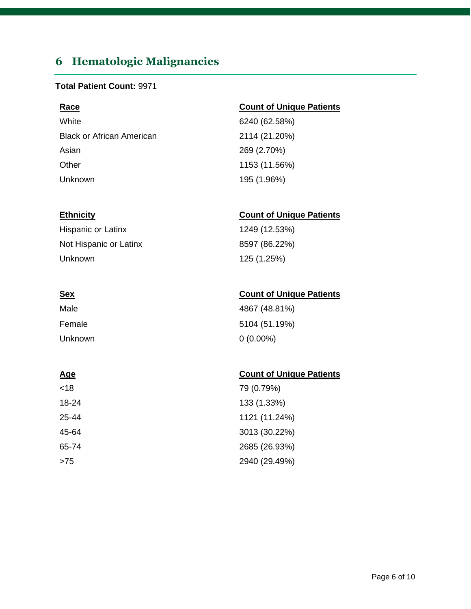# <span id="page-5-0"></span>**6 Hematologic Malignancies**

### **Total Patient Count:** 9971

White 6240 (62.58%) Black or African American 2114 (21.20%) Asian 269 (2.70%) Other 1153 (11.56%) Unknown 195 (1.96%)

Hispanic or Latinx 1249 (12.53%) Not Hispanic or Latinx 8597 (86.22%) Unknown 125 (1.25%)

| Male    | 4867 (48.81%) |
|---------|---------------|
| Female  | 5104 (51.19%) |
| Unknown | $0(0.00\%)$   |

| <18   | 79 (0.79%)    |
|-------|---------------|
| 18-24 | 133 (1.33%)   |
| 25-44 | 1121 (11.24%) |
| 45-64 | 3013 (30.22%) |
| 65-74 | 2685 (26.93%) |
| >75   | 2940 (29.49%) |

### **Race Count of Unique Patients**

### **Ethnicity Count of Unique Patients**

### **Sex Count of Unique Patients**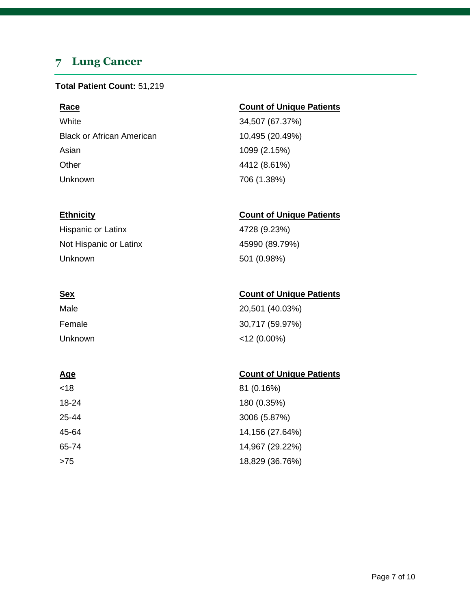# <span id="page-6-0"></span>**7 Lung Cancer**

### **Total Patient Count:** 51,219

White 34,507 (67.37%) Black or African American 10,495 (20.49%) Asian 1099 (2.15%) Other 4412 (8.61%) Unknown 706 (1.38%)

Hispanic or Latinx 4728 (9.23%) Not Hispanic or Latinx 45990 (89.79%) Unknown 501 (0.98%)

| Male    | 20,501 (40.03%) |
|---------|-----------------|
| Female  | 30,717 (59.97%) |
| Unknown | $<$ 12 (0.00%)  |

### **Age** Count of Unique Patients

| <18   | 81 (0.16%)      |
|-------|-----------------|
| 18-24 | 180 (0.35%)     |
| 25-44 | 3006 (5.87%)    |
| 45-64 | 14,156 (27.64%) |
| 65-74 | 14,967 (29.22%) |
| >75   | 18,829 (36.76%) |

### **Race Count of Unique Patients**

### **Ethnicity Count of Unique Patients**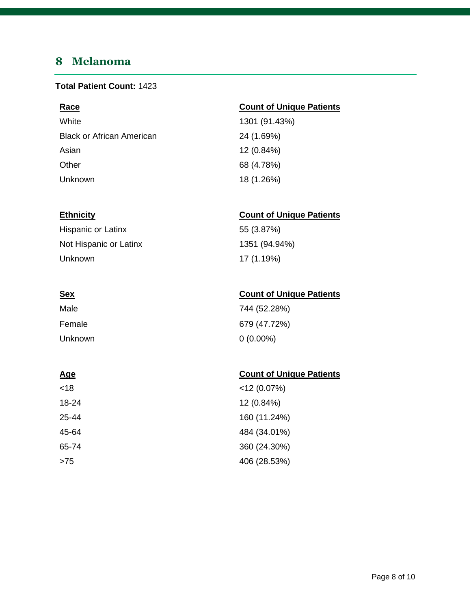# <span id="page-7-0"></span>**8 Melanoma**

### **Total Patient Count:** 1423

| Race                             | <b>Count of Unique Patients</b> |
|----------------------------------|---------------------------------|
| White                            | 1301 (91.43%)                   |
| <b>Black or African American</b> | 24 (1.69%)                      |
| Asian                            | 12 (0.84%)                      |
| Other                            | 68 (4.78%)                      |
| Unknown                          | 18 (1.26%)                      |

### **Ethnicity Count of Unique Patients**

| Hispanic or Latinx     | 55 (3.87%)    |
|------------------------|---------------|
| Not Hispanic or Latinx | 1351 (94.94%) |
| Unknown                | 17 (1.19%)    |

| <u>Sex</u> | <b>Count of Unique Patients</b> |
|------------|---------------------------------|
| Male       | 744 (52.28%)                    |
| Female     | 679 (47.72%)                    |
| Unknown    | $0(0.00\%)$                     |

| <18   | $<$ 12 (0.07%) |
|-------|----------------|
| 18-24 | 12 (0.84%)     |
| 25-44 | 160 (11.24%)   |
| 45-64 | 484 (34.01%)   |
| 65-74 | 360 (24.30%)   |
| >75   | 406 (28.53%)   |

| Age | <b>Count of Unique Patients</b> |
|-----|---------------------------------|
|     |                                 |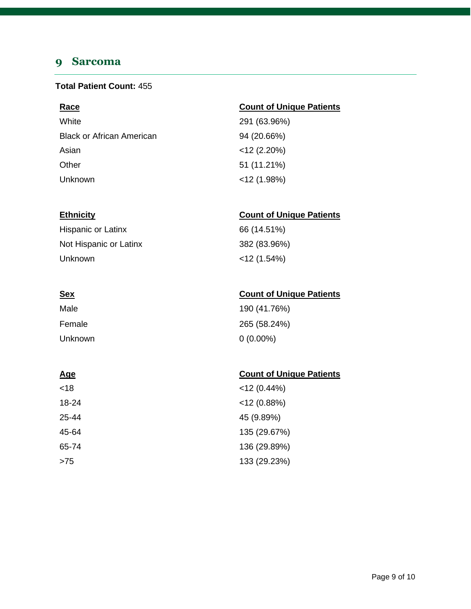# <span id="page-8-0"></span>**9 Sarcoma**

### **Total Patient Count:** 455

| Race                             | <b>Count of Unique Patients</b> |
|----------------------------------|---------------------------------|
| White                            | 291 (63.96%)                    |
| <b>Black or African American</b> | 94 (20.66%)                     |
| Asian                            | $<$ 12 (2.20%)                  |
| Other                            | 51 (11.21%)                     |
| Unknown                          | $<$ 12 (1.98%)                  |

### **Ethnicity Count of Unique Patients**

| Hispanic or Latinx     | 66 (14.51%)    |
|------------------------|----------------|
| Not Hispanic or Latinx | 382 (83.96%)   |
| Unknown                | $<$ 12 (1.54%) |

| <b>Sex</b> | <b>Count of Unique Patients</b> |
|------------|---------------------------------|
|------------|---------------------------------|

| Male    | 190 (41.76%) |
|---------|--------------|
| Female  | 265 (58.24%) |
| Unknown | $0(0.00\%)$  |

| <18   | $<$ 12 (0.44%) |
|-------|----------------|
| 18-24 | $<$ 12 (0.88%) |
| 25-44 | 45 (9.89%)     |
| 45-64 | 135 (29.67%)   |
| 65-74 | 136 (29.89%)   |
| >75   | 133 (29.23%)   |